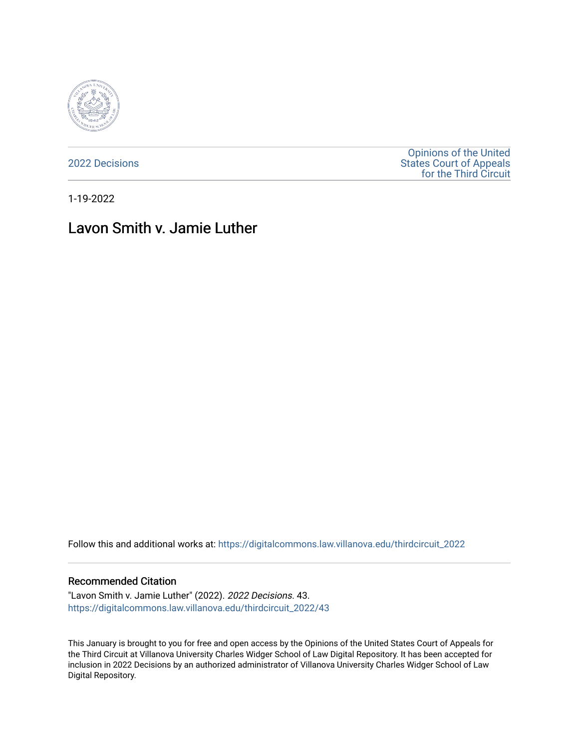

[2022 Decisions](https://digitalcommons.law.villanova.edu/thirdcircuit_2022)

[Opinions of the United](https://digitalcommons.law.villanova.edu/thirdcircuit)  [States Court of Appeals](https://digitalcommons.law.villanova.edu/thirdcircuit)  [for the Third Circuit](https://digitalcommons.law.villanova.edu/thirdcircuit) 

1-19-2022

# Lavon Smith v. Jamie Luther

Follow this and additional works at: [https://digitalcommons.law.villanova.edu/thirdcircuit\\_2022](https://digitalcommons.law.villanova.edu/thirdcircuit_2022?utm_source=digitalcommons.law.villanova.edu%2Fthirdcircuit_2022%2F43&utm_medium=PDF&utm_campaign=PDFCoverPages) 

#### Recommended Citation

"Lavon Smith v. Jamie Luther" (2022). 2022 Decisions. 43. [https://digitalcommons.law.villanova.edu/thirdcircuit\\_2022/43](https://digitalcommons.law.villanova.edu/thirdcircuit_2022/43?utm_source=digitalcommons.law.villanova.edu%2Fthirdcircuit_2022%2F43&utm_medium=PDF&utm_campaign=PDFCoverPages)

This January is brought to you for free and open access by the Opinions of the United States Court of Appeals for the Third Circuit at Villanova University Charles Widger School of Law Digital Repository. It has been accepted for inclusion in 2022 Decisions by an authorized administrator of Villanova University Charles Widger School of Law Digital Repository.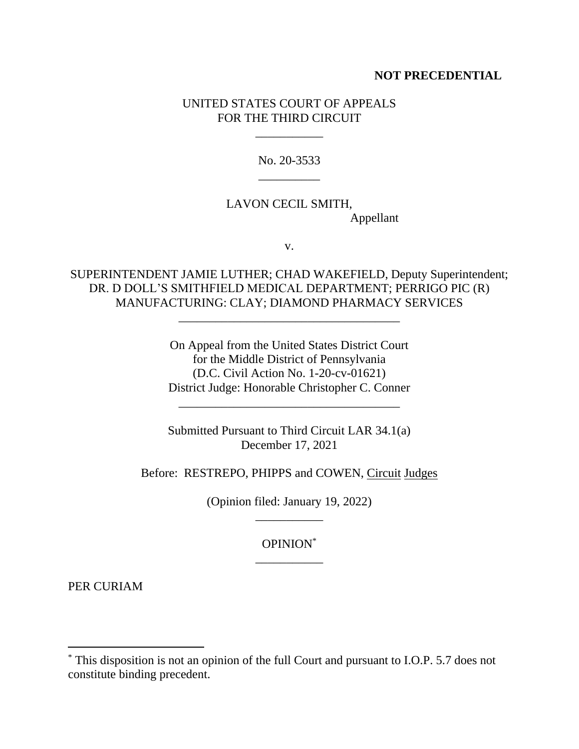#### **NOT PRECEDENTIAL**

### UNITED STATES COURT OF APPEALS FOR THE THIRD CIRCUIT

\_\_\_\_\_\_\_\_\_\_\_

No. 20-3533 \_\_\_\_\_\_\_\_\_\_

## LAVON CECIL SMITH, Appellant

v.

SUPERINTENDENT JAMIE LUTHER; CHAD WAKEFIELD, Deputy Superintendent; DR. D DOLL'S SMITHFIELD MEDICAL DEPARTMENT; PERRIGO PIC (R) MANUFACTURING: CLAY; DIAMOND PHARMACY SERVICES

\_\_\_\_\_\_\_\_\_\_\_\_\_\_\_\_\_\_\_\_\_\_\_\_\_\_\_\_\_\_\_\_\_\_\_\_

On Appeal from the United States District Court for the Middle District of Pennsylvania (D.C. Civil Action No. 1-20-cv-01621) District Judge: Honorable Christopher C. Conner

\_\_\_\_\_\_\_\_\_\_\_\_\_\_\_\_\_\_\_\_\_\_\_\_\_\_\_\_\_\_\_\_\_\_\_\_

Submitted Pursuant to Third Circuit LAR 34.1(a) December 17, 2021

Before: RESTREPO, PHIPPS and COWEN, Circuit Judges

(Opinion filed: January 19, 2022) \_\_\_\_\_\_\_\_\_\_\_

> OPINION\* \_\_\_\_\_\_\_\_\_\_\_

PER CURIAM

<sup>\*</sup> This disposition is not an opinion of the full Court and pursuant to I.O.P. 5.7 does not constitute binding precedent.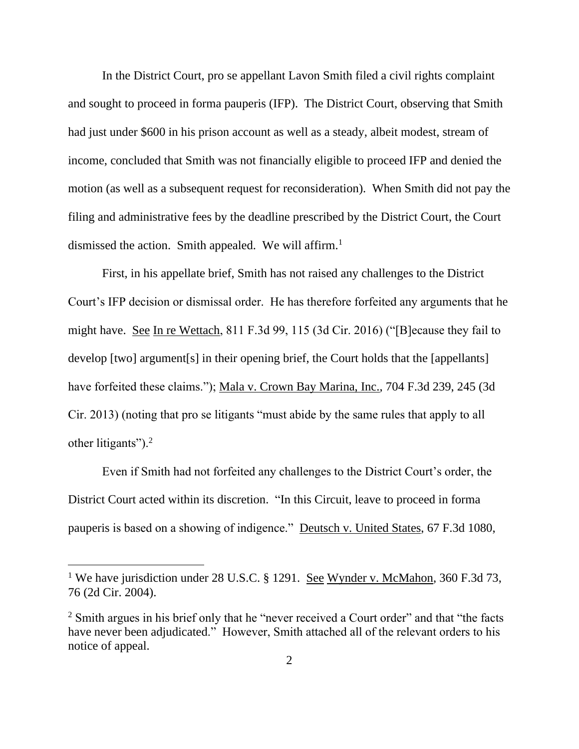In the District Court, pro se appellant Lavon Smith filed a civil rights complaint and sought to proceed in forma pauperis (IFP). The District Court, observing that Smith had just under \$600 in his prison account as well as a steady, albeit modest, stream of income, concluded that Smith was not financially eligible to proceed IFP and denied the motion (as well as a subsequent request for reconsideration). When Smith did not pay the filing and administrative fees by the deadline prescribed by the District Court, the Court dismissed the action. Smith appealed. We will affirm.<sup>1</sup>

First, in his appellate brief, Smith has not raised any challenges to the District Court's IFP decision or dismissal order. He has therefore forfeited any arguments that he might have. See In re Wettach, 811 F.3d 99, 115 (3d Cir. 2016) ("[B]ecause they fail to develop [two] argument[s] in their opening brief, the Court holds that the [appellants] have forfeited these claims."); Mala v. Crown Bay Marina, Inc., 704 F.3d 239, 245 (3d Cir. 2013) (noting that pro se litigants "must abide by the same rules that apply to all other litigants").<sup>2</sup>

Even if Smith had not forfeited any challenges to the District Court's order, the District Court acted within its discretion. "In this Circuit, leave to proceed in forma pauperis is based on a showing of indigence." Deutsch v. United States, 67 F.3d 1080,

<sup>&</sup>lt;sup>1</sup> We have jurisdiction under 28 U.S.C. § 1291. <u>See Wynder v. McMahon</u>, 360 F.3d 73, 76 (2d Cir. 2004).

<sup>&</sup>lt;sup>2</sup> Smith argues in his brief only that he "never received a Court order" and that "the facts" have never been adjudicated." However, Smith attached all of the relevant orders to his notice of appeal.